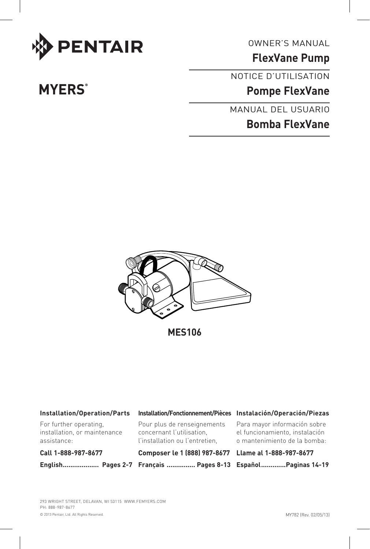

OWNER'S MANUAL

**FlexVane Pump**

NOTICE D'UTILISATION

**Pompe FlexVane**

MANUAL DEL USUARIO

# **Bomba FlexVane**



**MES106**

| Installation/Operation/Parts                                          | Installation/Fonctionnement/Pièces Instalación/Operación/Piezas                            |                                                                                                |
|-----------------------------------------------------------------------|--------------------------------------------------------------------------------------------|------------------------------------------------------------------------------------------------|
| For further operating.<br>installation, or maintenance<br>assistance: | Pour plus de renseignements<br>concernant l'utilisation.<br>l'installation ou l'entretien. | Para mayor información sobre<br>el funcionamiento, instalación<br>o mantenimiento de la bomba: |
| Call 1-888-987-8677                                                   | Composer le 1 (888) 987-8677 Llame al 1-888-987-8677                                       |                                                                                                |
|                                                                       | English Pages 2-7 Français  Pages 8-13 EspañolPaginas 14-19                                |                                                                                                |

# **MYERS**<sup>®</sup>

© 2013 Pentair, Ltd. All Rights Reserved. 293 WRIGHT STREET, DELAVAN, WI 53115 WWW.femyers.COM PH: 888-987-8677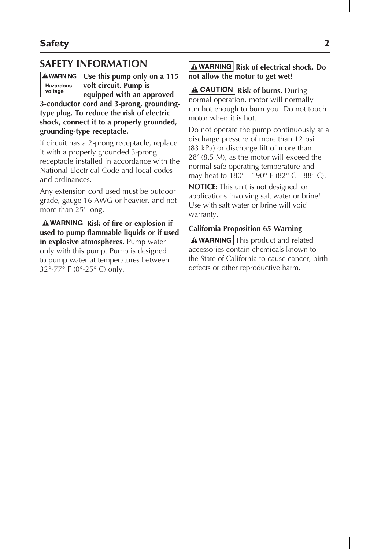## **SAFETY INFORMATION**



**Use this pump only on a 115 volt circuit. Pump is** 

**equipped with an approved 3-conductor cord and 3-prong, groundingtype plug. To reduce the risk of electric shock, connect it to a properly grounded, grounding-type receptacle.**

If circuit has a 2-prong receptacle, replace it with a properly grounded 3-prong receptacle installed in accordance with the National Electrical Code and local codes and ordinances.

Any extension cord used must be outdoor grade, gauge 16 AWG or heavier, and not more than 25' long.

**A WARNING** Risk of fire or explosion if **used to pump flammable liquids or if used in explosive atmospheres.** Pump water only with this pump. Pump is designed to pump water at temperatures between 32°-77° F (0°-25° C) only.

#### **A WARNING** Risk of electrical shock. Do **not allow the motor to get wet!**

**A CAUTION** Risk of burns. During normal operation, motor will normally run hot enough to burn you. Do not touch motor when it is hot.

Do not operate the pump continuously at a discharge pressure of more than 12 psi (83 kPa) or discharge lift of more than 28' (8.5 M), as the motor will exceed the normal safe operating temperature and may heat to 180° - 190° F (82° C - 88° C).

**NOTICE:** This unit is not designed for applications involving salt water or brine! Use with salt water or brine will void warranty.

#### **California Proposition 65 Warning**

 $\mathbf{A}$  WARNING This product and related accessories contain chemicals known to the State of California to cause cancer, birth defects or other reproductive harm.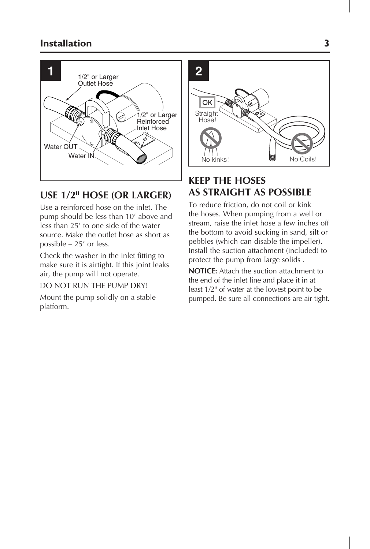

# **USE 1/2" HOSE (or larger)**

Use a reinforced hose on the inlet. The pump should be less than 10' above and less than 25' to one side of the water source. Make the outlet hose as short as possible – 25' or less.

Check the washer in the inlet fitting to make sure it is airtight. If this joint leaks air, the pump will not operate.

#### DO NOT RUN THE PUMP DRY!

Mount the pump solidly on a stable platform.



# **KEEP THE HOSES AS STRAIGHT AS POSSIBLE**

To reduce friction, do not coil or kink the hoses. When pumping from a well or stream, raise the inlet hose a few inches off the bottom to avoid sucking in sand, silt or pebbles (which can disable the impeller). Install the suction attachment (included) to protect the pump from large solids .

**NOTICE:** Attach the suction attachment to the end of the inlet line and place it in at least 1/2" of water at the lowest point to be pumped. Be sure all connections are air tight.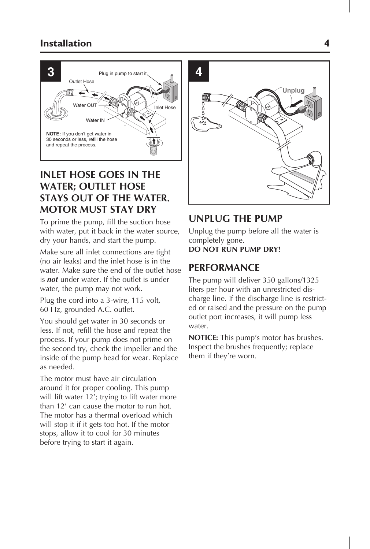

# **INLET hose goes IN the water; OUTLET hose stays OUT of the water. MOTOR must stay dry**

To prime the pump, fill the suction hose with water, put it back in the water source, dry your hands, and start the pump.

Make sure all inlet connections are tight (no air leaks) and the inlet hose is in the water. Make sure the end of the outlet hose is *not* under water. If the outlet is under water, the pump may not work.

Plug the cord into a 3-wire, 115 volt, 60 Hz, grounded A.C. outlet.

You should get water in 30 seconds or less. If not, refill the hose and repeat the process. If your pump does not prime on the second try, check the impeller and the inside of the pump head for wear. Replace as needed.

The motor must have air circulation around it for proper cooling. This pump will lift water 12'; trying to lift water more than 12' can cause the motor to run hot. The motor has a thermal overload which will stop it if it gets too hot. If the motor stops, allow it to cool for 30 minutes before trying to start it again.



## **UNPLUG THE PUMP**

Unplug the pump before all the water is completely gone. **Do not run pump dry!**

## **Performance**

The pump will deliver 350 gallons/1325 liters per hour with an unrestricted discharge line. If the discharge line is restricted or raised and the pressure on the pump outlet port increases, it will pump less water.

**NOTICE:** This pump's motor has brushes. Inspect the brushes frequently; replace them if they're worn.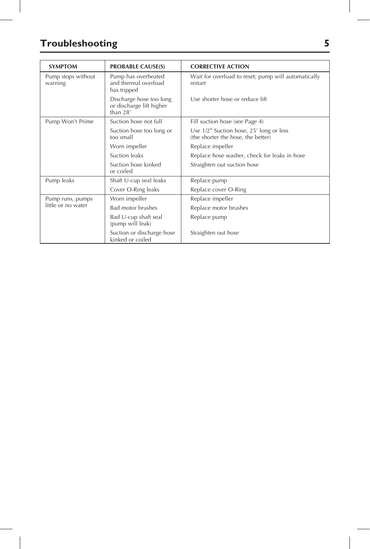# **Troubleshooting 5**

| <b>SYMPTOM</b>                         | <b>PROBABLE CAUSE(S)</b>                                          | <b>CORRECTIVE ACTION</b>                                                                    |
|----------------------------------------|-------------------------------------------------------------------|---------------------------------------------------------------------------------------------|
| Pump stops without<br>warning          | Pump has overheated<br>and thermal overload<br>has tripped        | Wait for overload to reset; pump will automatically<br>restart                              |
|                                        | Discharge hose too long<br>or discharge lift higher<br>than $28'$ | Use shorter hose or reduce lift                                                             |
| Pump Won't Prime                       | Suction hose not full                                             | Fill suction hose (see Page 4)                                                              |
|                                        | Suction hose too long or<br>too small                             | Use $1/2$ <sup>"</sup> Suction hose, 25' long or less<br>(the shorter the hose, the better) |
|                                        | Worn impeller                                                     | Replace impeller                                                                            |
|                                        | Suction leaks                                                     | Replace hose washer, check for leaks in hose                                                |
|                                        | Suction hose kinked<br>or coiled                                  | Straighten out suction hose                                                                 |
| Pump leaks                             | Shaft U-cup seal leaks                                            | Replace pump                                                                                |
|                                        | Cover O-Ring leaks                                                | Replace cover O-Ring                                                                        |
| Pump runs, pumps<br>little or no water | Worn impeller                                                     | Replace impeller                                                                            |
|                                        | <b>Bad motor brushes</b>                                          | Replace motor brushes                                                                       |
|                                        | Bad U-cup shaft seal<br>(pump will leak)                          | Replace pump                                                                                |
|                                        | Suction or discharge hose<br>kinked or coiled                     | Straighten out hose                                                                         |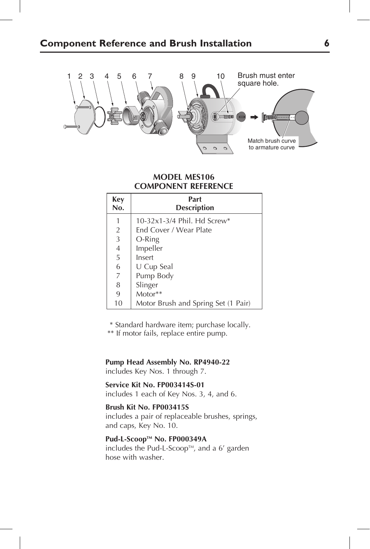

#### **MODEL MES106 COMPONENT REFERENCE**

| Key<br>No.     | Part<br><b>Description</b>          |
|----------------|-------------------------------------|
| 1              | 10-32x1-3/4 Phil. Hd Screw*         |
| $\overline{2}$ | End Cover / Wear Plate              |
| $\overline{3}$ | O-Ring                              |
| $\overline{4}$ | Impeller                            |
| 5              | Insert                              |
| 6              | U Cup Seal                          |
| 7              | Pump Body                           |
| 8              | Slinger                             |
| 9              | Motor**                             |
| 10             | Motor Brush and Spring Set (1 Pair) |

\* Standard hardware item; purchase locally.

\*\* If motor fails, replace entire pump.

**Pump Head Assembly No. RP4940-22** includes Key Nos. 1 through 7.

**Service Kit No. FP003414S-01** includes 1 each of Key Nos. 3, 4, and 6.

#### **Brush Kit No. FP003415S**

includes a pair of replaceable brushes, springs, and caps, Key No. 10.

### Pud-L-Scoop™ No. FP000349A

includes the Pud-L-Scoop<sup> $M$ </sup>, and a 6' garden hose with washer.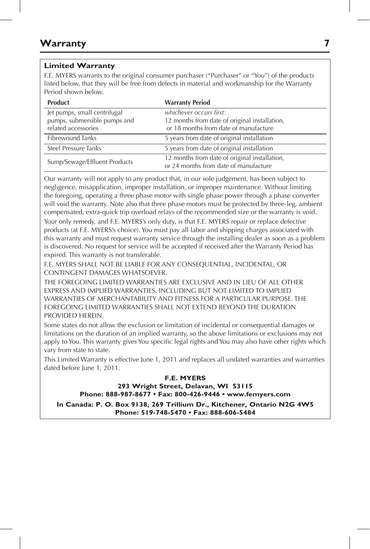#### **Limited Warranty**

F.E. MYERS warrants to the original consumer purchaser ("Purchaser" or "You") of the products listed below, that they will be free from defects in material and workmanship for the Warranty Period shown below.

| <b>Product</b>                                                                      | <b>Warranty Period</b>                                                                                            |
|-------------------------------------------------------------------------------------|-------------------------------------------------------------------------------------------------------------------|
| Jet pumps, small centrifugal<br>pumps, submersible pumps and<br>related accessories | whichever occurs first:<br>12 months from date of original installation,<br>or 18 months from date of manufacture |
| <b>Fibrewound Tanks</b>                                                             | 5 years from date of original installation                                                                        |
| Steel Pressure Tanks                                                                | 5 years from date of original installation                                                                        |
| Sump/Sewage/Effluent Products                                                       | 12 months from date of original installation,<br>or 24 months from date of manufacture                            |

Our warranty will not apply to any product that, in our sole judgement, has been subject to negligence, misapplication, improper installation, or improper maintenance. Without limiting the foregoing, operating a three phase motor with single phase power through a phase converter will void the warranty. Note also that three phase motors must be protected by three-leg, ambient compensated, extra-quick trip overload relays of the recommended size or the warranty is void. Your only remedy, and F.E. MYERS's only duty, is that F.E. MYERS repair or replace defective products (at F.E. MYERS's choice). You must pay all labor and shipping charges associated with this warranty and must request warranty service through the installing dealer as soon as a problem is discovered. No request for service will be accepted if received after the Warranty Period has expired. This warranty is not transferable.

F.E. MYERS SHALL NOT BE LIABLE FOR ANY CONSEQUENTIAL, INCIDENTAL, OR CONTINGENT DAMAGES WHATSOEVER.

THE FOREGOING LIMITED WARRANTIES ARE EXCLUSIVE AND IN LIEU OF ALL OTHER EXPRESS AND IMPLIED WARRANTIES, INCLUDING BUT NOT LIMITED TO IMPLIED WARRANTIES OF MERCHANTABILITY AND FITNESS FOR A PARTICULAR PURPOSE. THE FOREGOING LIMITED WARRANTIES SHALL NOT EXTEND BEYOND THE DURATION PROVIDED HEREIN.

Some states do not allow the exclusion or limitation of incidental or consequential damages or limitations on the duration of an implied warranty, so the above limitations or exclusions may not apply to You. This warranty gives You specific legal rights and You may also have other rights which vary from state to state.

This Limited Warranty is effective June 1, 2011 and replaces all undated warranties and warranties dated before June 1, 2011.

#### **F.E. MYERS**

**293 Wright Street, Delavan, WI 53115 Phone: 888-987-8677 • Fax: 800-426-9446 • www.femyers.com**

**In Canada: P. O. Box 9138, 269 Trillium Dr., Kitchener, Ontario N2G 4W5 Phone: 519-748-5470 • Fax: 888-606-5484**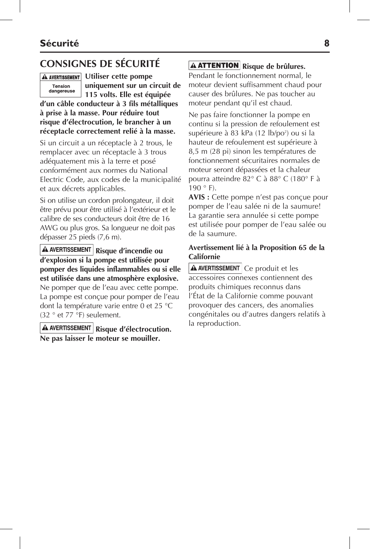# **CONSIGNES DE SÉCURITÉ**



**A AVERTISSEMENT** Utiliser cette pompe **uniquement sur un circuit de 115 volts. Elle est équipée** 

**d'un câble conducteur à 3 fils métalliques à prise à la masse. Pour réduire tout risque d'électrocution, le brancher à un réceptacle correctement relié à la masse.**

Si un circuit a un réceptacle à 2 trous, le remplacer avec un réceptacle à 3 trous adéquatement mis à la terre et posé conformément aux normes du National Electric Code, aux codes de la municipalité et aux décrets applicables.

Si on utilise un cordon prolongateur, il doit être prévu pour être utilisé à l'extérieur et le calibre de ses conducteurs doit être de 16 AWG ou plus gros. Sa longueur ne doit pas dépasser 25 pieds (7,6 m).

**A AVERTISSEMENT** Risque d'incendie ou **d'explosion si la pompe est utilisée pour pomper des liquides inflammables ou si elle est utilisée dans une atmosphère explosive.** Ne pomper que de l'eau avec cette pompe. La pompe est conçue pour pomper de l'eau dont la température varie entre 0 et 25 °C (32 ° et 77 °F) seulement.

**A AVERTISSEMENT** Risque d'électrocution. **Ne pas laisser le moteur se mouiller.**

## **A ATTENTION** Risque de brûlures.

Pendant le fonctionnement normal, le moteur devient suffisamment chaud pour causer des brûlures. Ne pas toucher au moteur pendant qu'il est chaud.

Ne pas faire fonctionner la pompe en continu si la pression de refoulement est supérieure à 83 kPa (12 lb/po<sup>2</sup>) ou si la hauteur de refoulement est supérieure à 8,5 m (28 pi) sinon les températures de fonctionnement sécuritaires normales de moteur seront dépassées et la chaleur pourra atteindre 82° C à 88° C (180° F à  $190 ° F$ ).

**AVIS :** Cette pompe n'est pas conçue pour pomper de l'eau salée ni de la saumure! La garantie sera annulée si cette pompe est utilisée pour pomper de l'eau salée ou de la saumure.

#### **Avertissement lié à la Proposition 65 de la Californie**

**A AVERTISSEMENT** Ce produit et les accessoires connexes contiennent des produits chimiques reconnus dans l'État de la Californie comme pouvant provoquer des cancers, des anomalies congénitales ou d'autres dangers relatifs à la reproduction.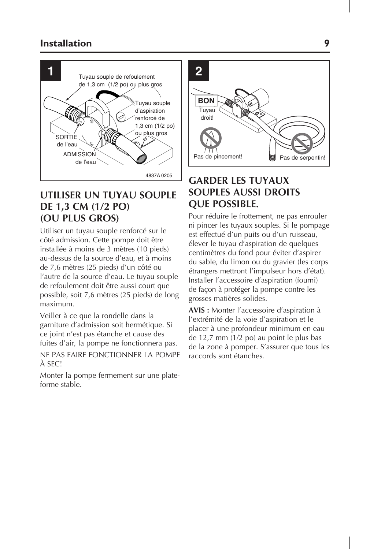

## **UTILISER UN TUYAU SOUPLE DE 1,3 cm (1/2 po) (OU PLUS GROS)**

Utiliser un tuyau souple renforcé sur le côté admission. Cette pompe doit être installée à moins de 3 mètres (10 pieds) au-dessus de la source d'eau, et à moins de 7,6 mètres (25 pieds) d'un côté ou l'autre de la source d'eau. Le tuyau souple de refoulement doit être aussi court que possible, soit 7,6 mètres (25 pieds) de long maximum.

Veiller à ce que la rondelle dans la garniture d'admission soit hermétique. Si ce joint n'est pas étanche et cause des fuites d'air, la pompe ne fonctionnera pas.

NE PAS FAIRE FONCTIONNER LA POMPE À SEC!

Monter la pompe fermement sur une plateforme stable.



# **GARDER LES TUYAUX SOUPLES AUSSI DROITS QUE POSSIBLE.**

Pour réduire le frottement, ne pas enrouler ni pincer les tuyaux souples. Si le pompage est effectué d'un puits ou d'un ruisseau, élever le tuyau d'aspiration de quelques centimètres du fond pour éviter d'aspirer du sable, du limon ou du gravier (les corps étrangers mettront l'impulseur hors d'état). Installer l'accessoire d'aspiration (fourni) de façon à protéger la pompe contre les grosses matières solides.

**AVIS :** Monter l'accessoire d'aspiration à l'extrémité de la voie d'aspiration et le placer à une profondeur minimum en eau de 12,7 mm (1/2 po) au point le plus bas de la zone à pomper. S'assurer que tous les raccords sont étanches.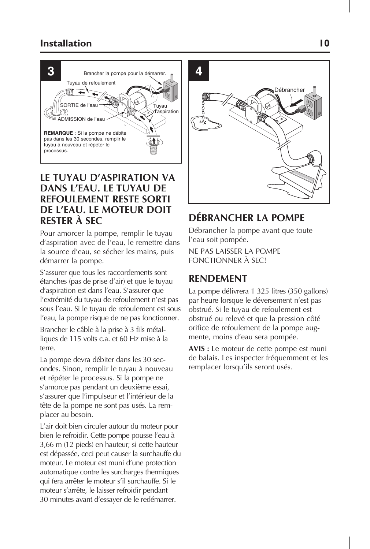

## **LE TUYAU D'ASPIRATION VA DANS L'EAU. LE TUYAU DE REFOULEMENT RESTE SORTI DE L'EAU. LE MOTEUR DOIT RESTER À SEC**

Pour amorcer la pompe, remplir le tuyau d'aspiration avec de l'eau, le remettre dans la source d'eau, se sécher les mains, puis démarrer la pompe.

S'assurer que tous les raccordements sont étanches (pas de prise d'air) et que le tuyau d'aspiration est dans l'eau. S'assurer que l'extrémité du tuyau de refoulement n'est pas sous l'eau. Si le tuyau de refoulement est sous l'eau, la pompe risque de ne pas fonctionner.

Brancher le câble à la prise à 3 fils métalliques de 115 volts c.a. et 60 Hz mise à la terre.

La pompe devra débiter dans les 30 secondes. Sinon, remplir le tuyau à nouveau et répéter le processus. Si la pompe ne s'amorce pas pendant un deuxième essai, s'assurer que l'impulseur et l'intérieur de la tête de la pompe ne sont pas usés. La remplacer au besoin.

L'air doit bien circuler autour du moteur pour bien le refroidir. Cette pompe pousse l'eau à 3,66 m (12 pieds) en hauteur; si cette hauteur est dépassée, ceci peut causer la surchauffe du moteur. Le moteur est muni d'une protection automatique contre les surcharges thermiques qui fera arrêter le moteur s'il surchauffe. Si le moteur s'arrête, le laisser refroidir pendant 30 minutes avant d'essayer de le redémarrer.



# **DÉBRANCHER LA POMPE**

Débrancher la pompe avant que toute l'eau soit pompée.

NE PAS LAISSER LA POMPE FONCTIONNER À SEC!

## **RENDEMENT**

La pompe délivrera 1 325 litres (350 gallons) par heure lorsque le déversement n'est pas obstrué. Si le tuyau de refoulement est obstrué ou relevé et que la pression côté orifice de refoulement de la pompe augmente, moins d'eau sera pompée.

**AVIS :** Le moteur de cette pompe est muni de balais. Les inspecter fréquemment et les remplacer lorsqu'ils seront usés.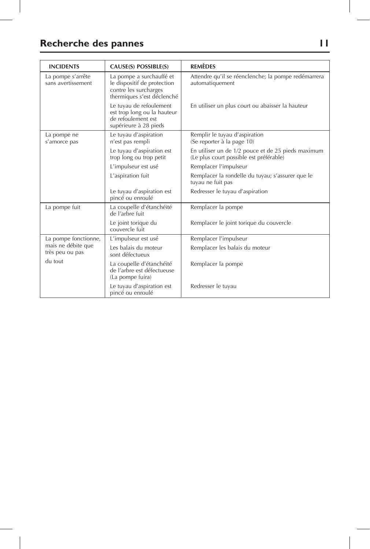# **Recherche des pannes 11**

J

| <b>INCIDENTS</b>                                              | CAUSE(S) POSSIBLE(S)                                                                                           | <b>REMÈDES</b>                                                                                |
|---------------------------------------------------------------|----------------------------------------------------------------------------------------------------------------|-----------------------------------------------------------------------------------------------|
| La pompe s'arrête<br>sans avertissement                       | La pompe a surchauffé et<br>le dispositif de protection<br>contre les surcharges<br>thermiques s'est déclenché | Attendre qu'il se réenclenche; la pompe redémarrera<br>automatiquement                        |
|                                                               | Le tuyau de refoulement<br>est trop long ou la hauteur<br>de refoulement est<br>supérieure à 28 pieds          | En utiliser un plus court ou abaisser la hauteur                                              |
| La pompe ne<br>s'amorce pas                                   | Le tuyau d'aspiration<br>n'est pas rempli                                                                      | Remplir le tuyau d'aspiration<br>(Se reporter à la page 10)                                   |
|                                                               | Le tuyau d'aspiration est<br>trop long ou trop petit                                                           | En utiliser un de 1/2 pouce et de 25 pieds maximum<br>(Le plus court possible est préférable) |
|                                                               | L'impulseur est usé                                                                                            | Remplacer l'impulseur                                                                         |
|                                                               | L'aspiration fuit                                                                                              | Remplacer la rondelle du tuyau; s'assurer que le<br>tuyau ne fuit pas                         |
|                                                               | Le tuyau d'aspiration est<br>pincé ou enroulé                                                                  | Redresser le tuyau d'aspiration                                                               |
| La pompe fuit                                                 | La coupelle d'étanchéité<br>de l'arbre fuit                                                                    | Remplacer la pompe                                                                            |
|                                                               | Le joint torique du<br>couvercle fuit                                                                          | Remplacer le joint torique du couvercle                                                       |
| La pompe fonctionne,<br>mais ne débite que<br>très peu ou pas | L'impulseur est usé                                                                                            | Remplacer l'impulseur                                                                         |
|                                                               | Les balais du moteur<br>sont défectueux                                                                        | Remplacer les balais du moteur                                                                |
| du tout                                                       | La coupelle d'étanchéité<br>de l'arbre est défectueuse<br>(La pompe fuira)                                     | Remplacer la pompe                                                                            |
|                                                               | Le tuyau d'aspiration est<br>pincé ou enroulé                                                                  | Redresser le tuyau                                                                            |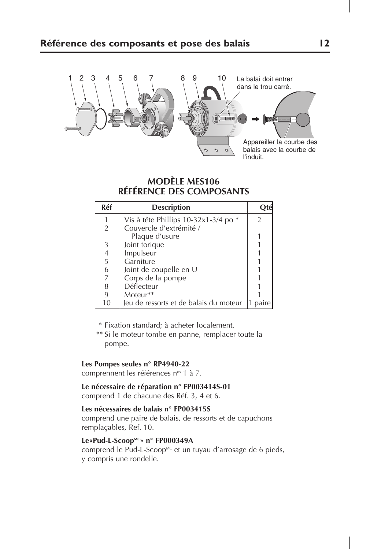

## **MODÈLE MES106 RÉFÉRENCE DES COMPOSANTS**

| Réf            | <b>Description</b>                     |   |
|----------------|----------------------------------------|---|
|                | Vis à tête Phillips 10-32x1-3/4 po *   | 2 |
| 2              | Couvercle d'extrémité /                |   |
|                | Plaque d'usure                         |   |
| 3              | Joint torique                          |   |
| $\frac{4}{5}$  | Impulseur                              |   |
|                | Garniture                              |   |
| 6              | Joint de coupelle en U                 |   |
| $\overline{7}$ | Corps de la pompe                      |   |
| 8              | Déflecteur                             |   |
| 9              | Moteur**                               |   |
| 10             | Jeu de ressorts et de balais du moteur |   |

- \* Fixation standard; à acheter localement.
- \*\* Si le moteur tombe en panne, remplacer toute la pompe.

#### **Les Pompes seules n° RP4940-22**

comprennent les références n<sup>os</sup> 1 à 7.

**Le nécessaire de réparation n° FP003414S-01**  comprend 1 de chacune des Réf. 3, 4 et 6.

#### **Les nécessaires de balais n° FP003415S**

comprend une paire de balais, de ressorts et de capuchons remplaçables, Ref. 10.

#### **Le«Pud-L-ScoopMC» n° FP000349A**

comprend le Pud-L-Scoop<sup>MC</sup> et un tuyau d'arrosage de 6 pieds, y compris une rondelle.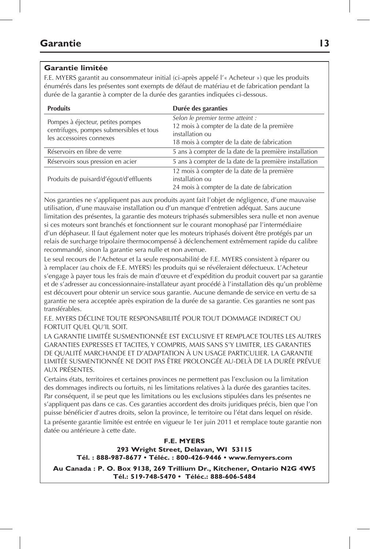#### **Garantie limitée**

F.E. MYERS garantit au consommateur initial (ci-après appelé l'« Acheteur ») que les produits énumérés dans les présentes sont exempts de défaut de matériau et de fabrication pendant la durée de la garantie à compter de la durée des garanties indiquées ci-dessous.

| <b>Produits</b>                                                                                           | Durée des garanties                                                                                                                               |
|-----------------------------------------------------------------------------------------------------------|---------------------------------------------------------------------------------------------------------------------------------------------------|
| Pompes à éjecteur, petites pompes<br>centrifuges, pompes submersibles et tous<br>les accessoires connexes | Selon le premier terme atteint :<br>12 mois à compter de la date de la première<br>installation ou<br>18 mois à compter de la date de fabrication |
| Réservoirs en fibre de verre                                                                              | 5 ans à compter de la date de la première installation                                                                                            |
| Réservoirs sous pression en acier                                                                         | 5 ans à compter de la date de la première installation                                                                                            |
| Produits de puisard/d'égout/d'effluents                                                                   | 12 mois à compter de la date de la première<br>installation ou<br>24 mois à compter de la date de fabrication                                     |

Nos garanties ne s'appliquent pas aux produits ayant fait l'objet de négligence, d'une mauvaise utilisation, d'une mauvaise installation ou d'un manque d'entretien adéquat. Sans aucune limitation des présentes, la garantie des moteurs triphasés submersibles sera nulle et non avenue si ces moteurs sont branchés et fonctionnent sur le courant monophasé par l'intermédiaire d'un déphaseur. Il faut également noter que les moteurs triphasés doivent être protégés par un relais de surcharge tripolaire thermocompensé à déclenchement extrêmement rapide du calibre recommandé, sinon la garantie sera nulle et non avenue.

Le seul recours de l'Acheteur et la seule responsabilité de F.E. MYERS consistent à réparer ou à remplacer (au choix de F.E. MYERS) les produits qui se révéleraient défectueux. L'Acheteur s'engage à payer tous les frais de main d'œuvre et d'expédition du produit couvert par sa garantie et de s'adresser au concessionnaire-installateur ayant procédé à l'installation dès qu'un problème est découvert pour obtenir un service sous garantie. Aucune demande de service en vertu de sa garantie ne sera acceptée après expiration de la durée de sa garantie. Ces garanties ne sont pas transférables.

F.E. MYERS DÉCLINE TOUTE RESPONSABILITÉ POUR TOUT DOMMAGE INDIRECT OU FORTUIT QUEL QU'IL SOIT.

LA GARANTIE LIMITÉE SUSMENTIONNÉE EST EXCLUSIVE ET REMPLACE TOUTES LES AUTRES GARANTIES EXPRESSES ET TACITES, Y COMPRIS, MAIS SANS S'Y LIMITER, LES GARANTIES DE QUALITÉ MARCHANDE ET D'ADAPTATION À UN USAGE PARTICULIER. LA GARANTIE LIMITÉE SUSMENTIONNÉE NE DOIT PAS ÊTRE PROLONGÉE AU-DELÀ DE LA DURÉE PRÉVUE AUX PRÉSENTES.

Certains états, territoires et certaines provinces ne permettent pas l'exclusion ou la limitation des dommages indirects ou fortuits, ni les limitations relatives à la durée des garanties tacites. Par conséquent, il se peut que les limitations ou les exclusions stipulées dans les présentes ne s'appliquent pas dans ce cas. Ces garanties accordent des droits juridiques précis, bien que l'on puisse bénéficier d'autres droits, selon la province, le territoire ou l'état dans lequel on réside. La présente garantie limitée est entrée en vigueur le 1er juin 2011 et remplace toute garantie non datée ou antérieure à cette date.

#### **F.E. MYERS 293 Wright Street, Delavan, WI 53115 Tél. : 888-987-8677 • Téléc. : 800-426-9446 • www.femyers.com**

**Au Canada : P. O. Box 9138, 269 Trillium Dr., Kitchener, Ontario N2G 4W5 Tél.: 519-748-5470 • Téléc.: 888-606-5484**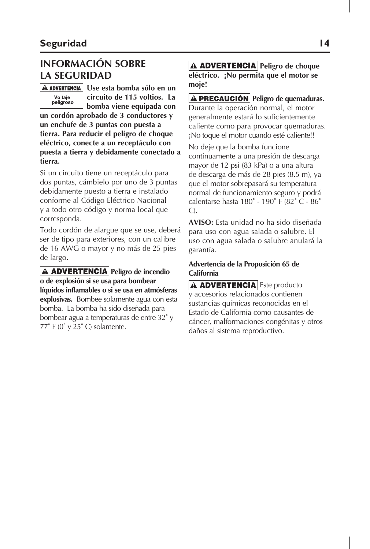# **INFORMACIÓN SOBRE LA SEGURIDAD**

## Voltaie peligroso

**Use esta bomba sólo en un circuito de 115 voltios. La bomba viene equipada con** 

**un cordón aprobado de 3 conductores y un enchufe de 3 puntas con puesta a tierra. Para reducir el peligro de choque eléctrico, conecte a un receptáculo con puesta a tierra y debidamente conectado a tierra.**

Si un circuito tiene un receptáculo para dos puntas, cámbielo por uno de 3 puntas debidamente puesto a tierra e instalado conforme al Código Eléctrico Nacional y a todo otro código y norma local que corresponda.

Todo cordón de alargue que se use, deberá ser de tipo para exteriores, con un calibre de 16 AWG o mayor y no más de 25 pies de largo.

**A ADVERTENCIA** Peligro de incendio **o de explosión si se usa para bombear líquidos inflamables o si se usa en atmósferas explosivas.** Bombee solamente agua con esta bomba. La bomba ha sido diseñada para bombear agua a temperaturas de entre 32˚ y  $77^\circ$  F (0° y 25° C) solamente.

**A ADVERTENCIA** Peligro de choque **eléctrico. ¡No permita que el motor se moje!** 

**A PRECAUCIÓN** Peligro de quemaduras. Durante la operación normal, el motor generalmente estará lo suficientemente caliente como para provocar quemaduras. ¡No toque el motor cuando esté caliente!!

No deje que la bomba funcione continuamente a una presión de descarga mayor de 12 psi (83 kPa) o a una altura de descarga de más de 28 pies (8.5 m), ya que el motor sobrepasará su temperatura normal de funcionamiento seguro y podrá calentarse hasta 180˚ - 190˚ F (82˚ C - 86˚ C).

**AVISO:** Esta unidad no ha sido diseñada para uso con agua salada o salubre. El uso con agua salada o salubre anulará la garantía.

#### **Advertencia de la Proposición 65 de California**

A **ADVERTENCIA** Este producto y accesorios relacionados contienen sustancias químicas reconocidas en el Estado de California como causantes de cáncer, malformaciones congénitas y otros daños al sistema reproductivo.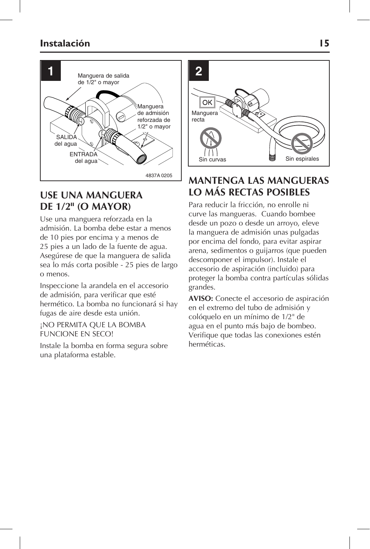## **Instalación 15**



## **USE UNA MANGUERA DE 1/2" (O MAYOR)**

Use una manguera reforzada en la admisión. La bomba debe estar a menos de 10 pies por encima y a menos de 25 pies a un lado de la fuente de agua. Asegúrese de que la manguera de salida sea lo más corta posible - 25 pies de largo o menos.

Inspeccione la arandela en el accesorio de admisión, para verificar que esté hermético. La bomba no funcionará si hay fugas de aire desde esta unión.

¡NO PERMITA QUE LA BOMBA FUNCIONE EN SECO!

Instale la bomba en forma segura sobre una plataforma estable.



## **MANTENGA LAS MANGUERAS LO MÁS RECTAS POSIBLES**

Para reducir la fricción, no enrolle ni curve las mangueras. Cuando bombee desde un pozo o desde un arroyo, eleve la manguera de admisión unas pulgadas por encima del fondo, para evitar aspirar arena, sedimentos o guijarros (que pueden descomponer el impulsor). Instale el accesorio de aspiración (incluido) para proteger la bomba contra partículas sólidas grandes.

**AVISO:** Conecte el accesorio de aspiración en el extremo del tubo de admisión y colóquelo en un mínimo de 1/2" de agua en el punto más bajo de bombeo. Verifique que todas las conexiones estén herméticas.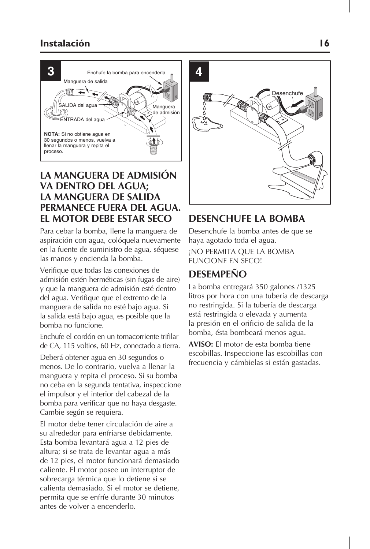### **Instalación 16**



## **LA MANGUERA DE ADMISIÓN VA DENTRO DEL AGUA; LA MANGUERA DE SALIDA PERMANECE FUERA DEL AGUA. EL MOTOR DEBE ESTAR SECO**

Para cebar la bomba, llene la manguera de aspiración con agua, colóquela nuevamente en la fuente de suministro de agua, séquese las manos y encienda la bomba.

Verifique que todas las conexiones de admisión estén herméticas (sin fugas de aire) y que la manguera de admisión esté dentro del agua. Verifique que el extremo de la manguera de salida no esté bajo agua. Si la salida está bajo agua, es posible que la bomba no funcione.

Enchufe el cordón en un tomacorriente trifilar de CA, 115 voltios, 60 Hz, conectado a tierra.

Deberá obtener agua en 30 segundos o menos. De lo contrario, vuelva a llenar la manguera y repita el proceso. Si su bomba no ceba en la segunda tentativa, inspeccione el impulsor y el interior del cabezal de la bomba para verificar que no haya desgaste. Cambie según se requiera.

El motor debe tener circulación de aire a su alrededor para enfriarse debidamente. Esta bomba levantará agua a 12 pies de altura; si se trata de levantar agua a más de 12 pies, el motor funcionará demasiado caliente. El motor posee un interruptor de sobrecarga térmica que lo detiene si se calienta demasiado. Si el motor se detiene, permita que se enfríe durante 30 minutos antes de volver a encenderlo.



## **DESENCHUFE LA BOMBA**

Desenchufe la bomba antes de que se haya agotado toda el agua.

¡NO PERMITA QUE LA BOMBA FUNCIONE EN SECO!

## **DESEMPEñO**

La bomba entregará 350 galones /1325 litros por hora con una tubería de descarga no restringida. Si la tubería de descarga está restringida o elevada y aumenta la presión en el orificio de salida de la bomba, ésta bombeará menos agua.

**AVISO:** El motor de esta bomba tiene escobillas. Inspeccione las escobillas con frecuencia y cámbielas si están gastadas.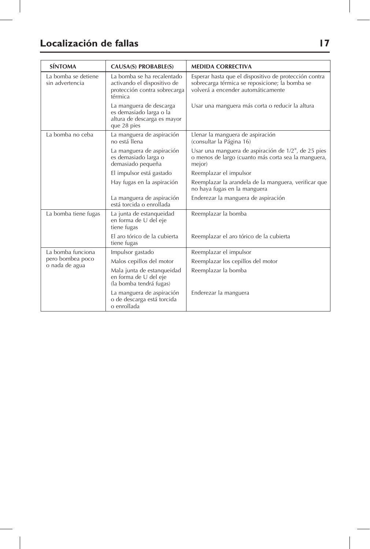# **Localización de fallas 17**

| <b>SÍNTOMA</b>                                          | <b>CAUSA(S) PROBABLE(S)</b>                                                                          | <b>MEDIDA CORRECTIVA</b>                                                                                                                      |
|---------------------------------------------------------|------------------------------------------------------------------------------------------------------|-----------------------------------------------------------------------------------------------------------------------------------------------|
| La bomba se detiene<br>sin advertencia                  | La bomba se ha recalentado<br>activando el dispositivo de<br>protección contra sobrecarga<br>térmica | Esperar hasta que el dispositivo de protección contra<br>sobrecarga térmica se reposicione; la bomba se<br>volverá a encender automáticamente |
|                                                         | La manguera de descarga<br>es demasiado larga o la<br>altura de descarga es mayor<br>que 28 pies     | Usar una manguera más corta o reducir la altura                                                                                               |
| La bomba no ceba                                        | La manguera de aspiración<br>no está llena                                                           | Llenar la manguera de aspiración<br>(consultar la Página 16)                                                                                  |
|                                                         | La manguera de aspiración<br>es demasiado larga o<br>demasiado pequeña                               | Usar una manguera de aspiración de 1/2", de 25 pies<br>o menos de largo (cuanto más corta sea la manguera,<br>mejor)                          |
|                                                         | El impulsor está gastado                                                                             | Reemplazar el impulsor                                                                                                                        |
|                                                         | Hay fugas en la aspiración                                                                           | Reemplazar la arandela de la manguera, verificar que<br>no haya fugas en la manguera                                                          |
|                                                         | La manguera de aspiración<br>está torcida o enrollada                                                | Enderezar la manguera de aspiración                                                                                                           |
| La bomba tiene fugas                                    | La junta de estanqueidad<br>en forma de U del eje<br>tiene fugas                                     | Reemplazar la bomba                                                                                                                           |
|                                                         | El aro tórico de la cubierta<br>tiene fugas                                                          | Reemplazar el aro tórico de la cubierta                                                                                                       |
| La bomba funciona<br>pero bombea poco<br>o nada de agua | Impulsor gastado                                                                                     | Reemplazar el impulsor                                                                                                                        |
|                                                         | Malos cepillos del motor                                                                             | Reemplazar los cepillos del motor                                                                                                             |
|                                                         | Mala junta de estanqueidad<br>en forma de U del eje<br>(la bomba tendrá fugas)                       | Reemplazar la bomba                                                                                                                           |
|                                                         | La manguera de aspiración<br>o de descarga está torcida<br>o enrollada                               | Enderezar la manguera                                                                                                                         |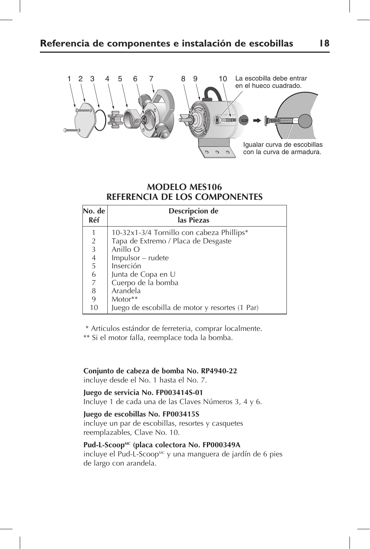

### **MODELO MES106 REFERENCIA DE LOS COMPONENTES**

| No. de<br>Réf                                   | Descripcion de<br>las Piezas                   |
|-------------------------------------------------|------------------------------------------------|
|                                                 | 10-32x1-3/4 Tornillo con cabeza Phillips*      |
|                                                 | Tapa de Extremo / Placa de Desgaste            |
|                                                 | Anillo O                                       |
| $\begin{array}{c} 2 \\ 3 \\ 4 \\ 5 \end{array}$ | Impulsor – rudete                              |
|                                                 | Inserción                                      |
| $\frac{6}{7}$                                   | Junta de Copa en U                             |
|                                                 | Cuerpo de la bomba                             |
| 8                                               | Arandela                                       |
| 9                                               | Motor**                                        |
| 10                                              | Juego de escobilla de motor y resortes (1 Par) |

\* Articulos estándor de ferreteria, comprar localmente.

\*\* Si el motor falla, reemplace toda la bomba.

**Conjunto de cabeza de bomba No. RP4940-22**  incluye desde el No. 1 hasta el No. 7.

**Juego de servicia No. FP003414S-01**  Incluye 1 de cada una de las Claves Números 3, 4 y 6.

#### **Juego de escobillas No. FP003415S**

incluye un par de escobillas, resortes y casquetes reemplazables, Clave No. 10.

### Pud-L-Scoop<sup>MC</sup> (placa colectora No. FP000349A

incluye el Pud-L-Scoop<sup>MC</sup> y una manguera de jardín de 6 pies de largo con arandela.